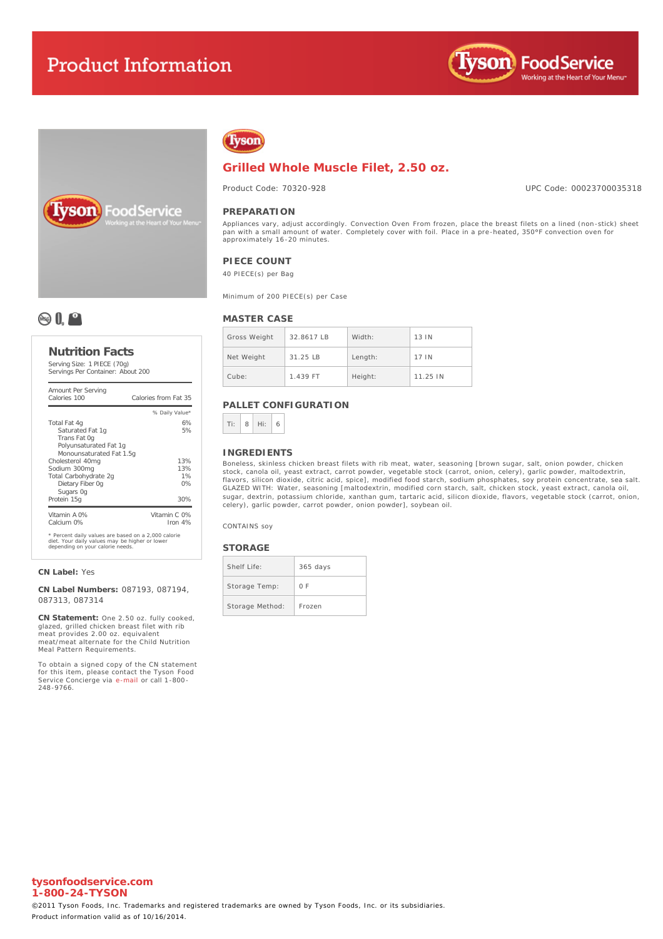# **Product Information**







# **Grilled Whole Muscle Filet, 2.50 oz.**

Product Code: 70320-928

UPC Code: 00023700035318

#### **PREPARATION**

Appliances vary, adjust accordingly. Convection Oven From frozen, place the breast filets on a lined (non-stick) sheet<br>pan with a small amount of water. Completely cover with foil. Place in a pre-**heated, 350°F convection** approximately 16-20 minutes.

# **PIECE COUNT**

40 PIECE(s) per Bag

Minimum of 200 PIECE(s) per Case

# **MASTER CASE**

| Gross Weight | 32.8617 IB | Width:  | 13 IN    |
|--------------|------------|---------|----------|
|              |            |         |          |
| Net Weight   | $31.25$ IB | Length: | 17 IN    |
| Cube:        | 1.439 FT   | Height: | 11.25 IN |

# **PALLET CONFIGURATION**



#### **INGREDIENTS**

Boneless, skinless chicken breast filets with rib meat, water, seasoning [brown sugar, salt, onion powder, chicken stock, canola oil, yeast extract, carrot powder, vegetable stock (carrot, onion, celery), garlic powder, maltodextrin,<br>flavors, silicon dioxide, citric acid, spice], modified food starch, sodium phosphates, soy protein con sugar, dextrin, potassium chloride, xanthan gum, tartaric acid, silicon dioxide, flavors, vegetable stock (carrot, onion, celery), garlic powder, carrot powder, onion powder], soybean oil.

CONTAINS soy

#### **STORAGE**

| Shelf Life:     | $365$ days |
|-----------------|------------|
| Storage Temp:   | 0 F        |
| Storage Method: | Frozen     |



### **Nutrition Facts**

Serving Size: 1 PIECE (70g) Servings Per Container: About 200

| Amount Per Serving<br>Calories 100                                                                                                        | Calories from Fat 35      |
|-------------------------------------------------------------------------------------------------------------------------------------------|---------------------------|
|                                                                                                                                           | % Daily Value*            |
| Total Fat 4g<br>Saturated Fat 1q<br>Trans Fat Og<br>Polyunsaturated Fat 1q<br>Monounsaturated Fat 1.5g                                    | 6%<br>5%                  |
| Cholesterol 40mg<br>Sodium 300mg<br>Total Carbohydrate 2q<br>Dietary Fiber Og<br>Sugars Og                                                | 13%<br>13%<br>1%<br>0%    |
| Protein 15g                                                                                                                               | 30%                       |
| Vitamin A 0%<br>Calcium 0%                                                                                                                | Vitamin C 0%<br>Iron $4%$ |
| * Percent daily values are based on a 2,000 calorie<br>diet. Your daily values may be higher or lower<br>depending on your calorie needs. |                           |

#### **CN Label:** Yes

**CN Label Numbers:** 087193, 087194, 087313, 087314

**CN Statement:** One 2.50 oz. fully cooked, glazed, grilled chicken breast filet with rib meat provides 2.00 oz. equivalent meat/meat alternate for the Child Nutrition Meal Pattern Requirements.

To obtain a signed copy of the CN statement for this item, please contact the Tyson Food Service Concierge via [e-mail](mailto:fscomments@tyson.com) or call 1-800- 248-9766.

**tysonfoodservice.com 1-800-24-TYSON**

©2011 Tyson Foods, Inc. Trademarks and registered trademarks are owned by Tyson Foods, Inc. or its subsidiaries. Product information valid as of 10/16/2014.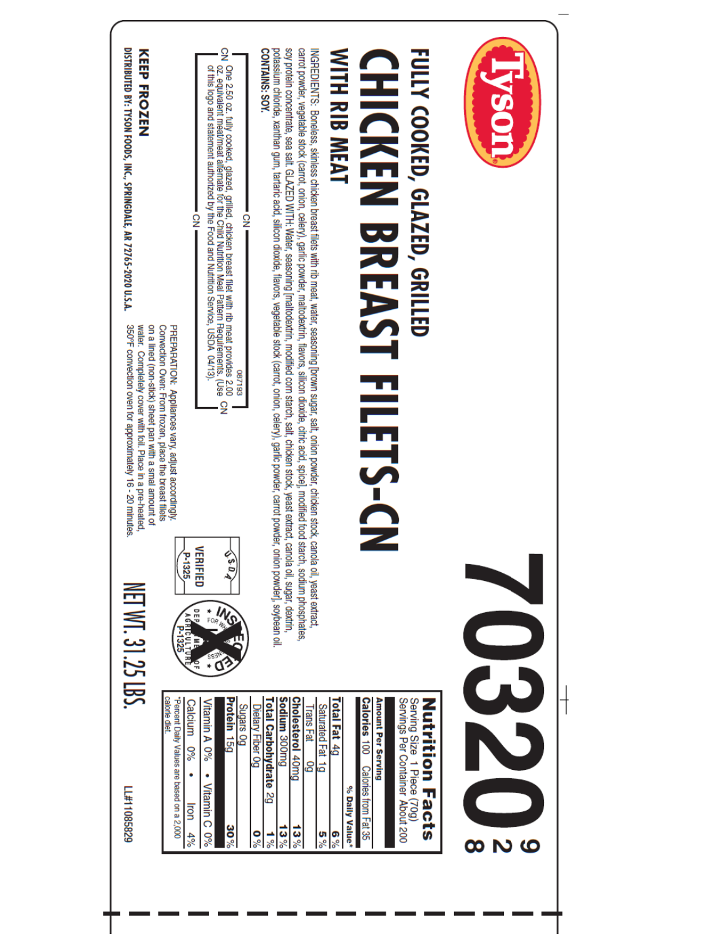| DISTRIBUTED BY: TYSON FOODS, INC., SPRINGDALE, AR 72765-2020 U.S.A.<br>KEEP FROZEN<br>350°F convection oven for approximately 16 - 20 minutes.<br>on a lined (non-stick) sheet pan with a smal amount of<br>water. Completely cover with foil. Place in a pre-heated.<br>NET WT. 31.25 LBS. | CN One 2.50 oz. fully cooked, glazed, grilled, chicken breast filet with rib meat provides 2.00<br>CN oz. equivalent meat/meat alternate for the Child Nutrition Meal Pattern Requirements. (Use<br>  of this logo and statement aut<br>$\frac{1}{2}$<br>PREPARATION: Appliances vary, adjust accordingly,<br>Convection Oven: From frozen, place the breast filets<br>087193<br>$\frac{\Omega}{2}$<br>VERIFIED<br>$\sqrt{s}$ 0 $\sqrt{s}$<br>P-1325<br>DEP,<br>AGRICULTUR<br>V P-1325<br>$FOR_{H_2}$ | soy protein concentrate, sea salt. GLAZED WITH: Water, seasoning [maltodextrin, modified corn starch, salt, chicken stock, yeast extract, canola oil, sugar, dextrin,<br>potassium chloride, xanthan gum, tartaric acid, silicon dioxide, flavors, vegetable stock (carrot, onion, celery), garlic powder, carrot powder, onion powder], soybean oil.<br>carrot powder, vegetable stock (carrot, onion, celery), garlic powder, maltodextrin, flavors, silicon dioxide, citric acid, spice], modified food starch, sodium phosphates,<br>INGREDIENTS: Boneless, skinless chicken breast filets with rib meat, water, seasoning [brown sugar, salt, onion powder, chicken stock, canola oil, yeast extract<br>CONTAINS: SOY.<br>WITH RIB MEAT<br>FULLY COOKED, GLAZED, GRILLED<br><b>CHICKEN BREAST FILET</b><br>∘<br>?<br>∎<br>P-CN | <b>NSOL</b> |
|---------------------------------------------------------------------------------------------------------------------------------------------------------------------------------------------------------------------------------------------------------------------------------------------|-------------------------------------------------------------------------------------------------------------------------------------------------------------------------------------------------------------------------------------------------------------------------------------------------------------------------------------------------------------------------------------------------------------------------------------------------------------------------------------------------------|-------------------------------------------------------------------------------------------------------------------------------------------------------------------------------------------------------------------------------------------------------------------------------------------------------------------------------------------------------------------------------------------------------------------------------------------------------------------------------------------------------------------------------------------------------------------------------------------------------------------------------------------------------------------------------------------------------------------------------------------------------------------------------------------------------------------------------------|-------------|
| FF#110862829                                                                                                                                                                                                                                                                                | calorie diet<br>Protein 15g<br>Percent Daily Values are based on a 2,000<br>Vitamin A 0%<br>Calcium<br>9,0<br>Vitamin C<br><b>Iron</b><br>30%<br>4%<br>$\frac{60}{6}$                                                                                                                                                                                                                                                                                                                                 | Sodium 300mg<br>Cholesterol 40mg<br>Total Fat 4g<br>Amount Per Serving<br>Servings Per Container About 200<br>Serving Size 1 Piece (70g)<br><b>Total Carbohydrate</b><br>Calories 100<br><b>Nutrition Facts</b><br><b>Bo</b> suebns<br>Dietary Fiber 0g<br>Saturated Fat 1g<br>Trans Fat<br>යි<br>Calories from Fat 35<br>% Daily Value*<br>δZ<br>$13\%$<br>$13\%$<br>$\frac{6}{6}$<br>ိုင္ပ<br>$\frac{1}{8}$<br><b>့</b>                                                                                                                                                                                                                                                                                                                                                                                                           | 6<br>N<br>œ |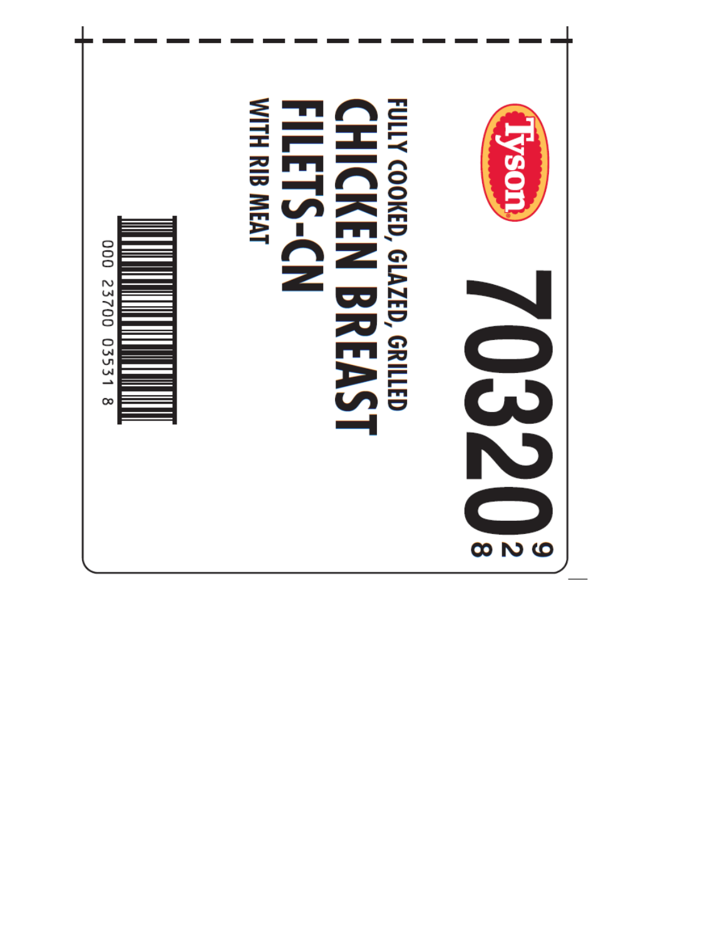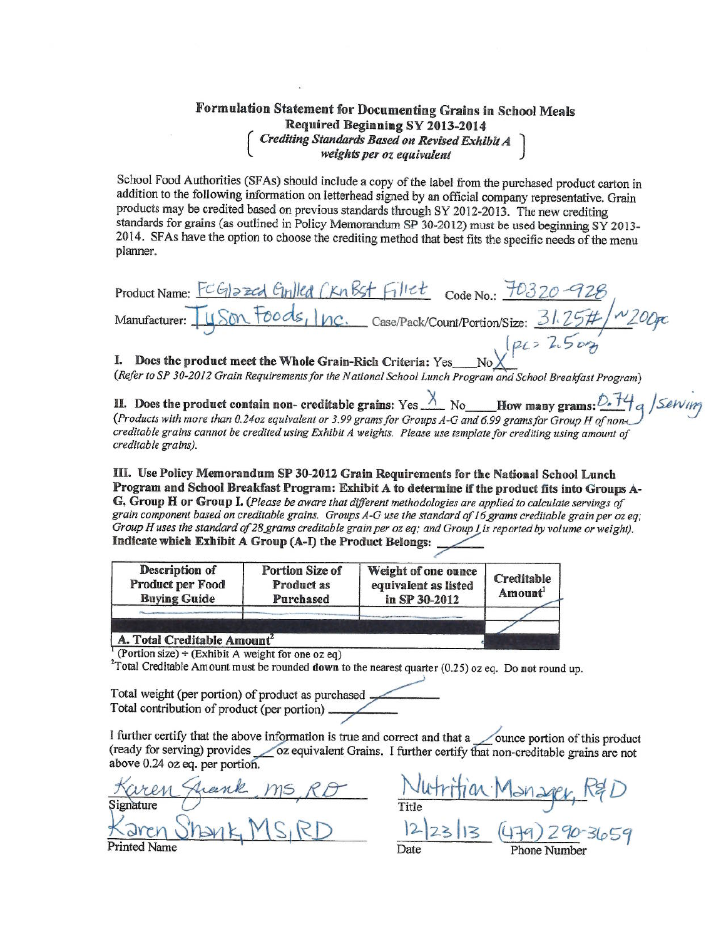# Formulation Statement for Documenting Grains in School Meals Required Beginning SY 2013-2014 Crediting Standards Based on Revised Exhibit A<br>weights per oz equivalent

School Food Authorities (SFAs) should include a copy of the label from the purchased product carton in addition to the following information on letterhead signed by an official company representative. Grain products may be credited based on previous standards through SY 2012-2013. The new crediting standards for grains (as outlined in Policy Memorandum SP 30-2012) must be used beginning SY 2013-2014. SFAs have the option to choose the crediting method that best fits the specific needs of the menu planner.

Product Name: FCGI2zed Guilled CKn Bst Fillet Code No.: 70320 Son Foods, Inc. Case/Pack/Count/Portion/Size: 31.25# Manufacturer:

I. Does the product meet the Whole Grain-Rich Criteria: Yes (Refer to SP 30-2012 Grain Requirements for the National School Lunch Program and School Breakfast Program)

II. Does the product contain non-creditable grains: Yes  $\frac{\lambda}{\Lambda}$  No How many grams:  $\frac{\delta^2 H}{\delta}$  (Products with more than 0.24oz equivalent or 3.99 grams for Groups A-G and 6.99 grams for Group H of non-

creditable grains cannot be credited using Exhibit A weights. Please use template for crediting using amount of creditable grains).

III. Use Policy Memorandum SP 30-2012 Grain Requirements for the National School Lunch Program and School Breakfast Program: Exhibit A to determine if the product fits into Groups A-G, Group H or Group I. (Please be aware that different methodologies are applied to calculate servings of grain component based on creditable grains. Groups A-G use the standard of 16 grams creditable grain per oz eq; Group H uses the standard of 28 grams creditable grain per oz eq; and Group L is reported by volume or weight). Indicate which Exhibit A Group (A-I) the Product Belongs:

| Product per Food    | <b>Product as</b> | equivalent as listed | Creditable          |
|---------------------|-------------------|----------------------|---------------------|
| <b>Buying Guide</b> | Purchased         | in SP 30-2012        | Amount <sup>1</sup> |
|                     |                   |                      |                     |

<sup>1</sup> (Portion size)  $\div$  (Exhibit A weight for one oz eq)

<sup>2</sup>Total Creditable Amount must be rounded **down** to the nearest quarter  $(0.25)$  oz eq. Do not round up.

Total weight (per portion) of product as purchased. Total contribution of product (per portion) \_

I further certify that the above information is true and correct and that a ounce portion of this product (ready for serving) provides <u>oz</u> equivalent Grains. I further certify that non-creditable grains are not above 0.24 oz eq. per portion.

Signature